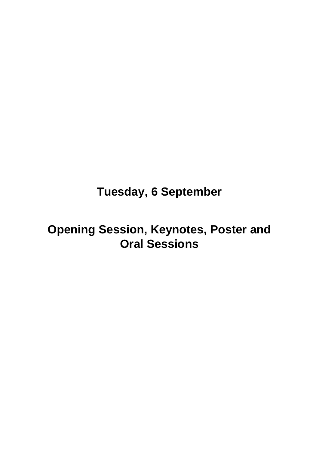## **Tuesday, 6 September**

## **Opening Session, Keynotes, Poster and Oral Sessions**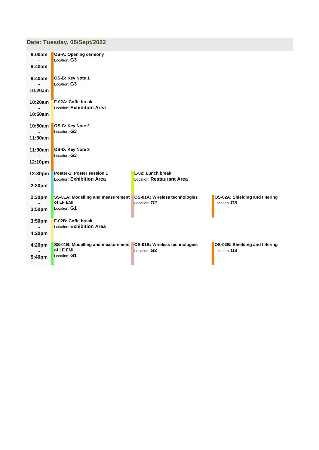## **Date: Tuesday, [06/Sept/2022](http://www.conftool.org/emc-europe-2022/index.php?page=browseSessions&path=adminSessions&print=doc&form_date=2022-09-06)**

| 9:00am<br>9:40am | OS-A: Opening cermony<br>Location: G3                   |                                                |                                                 |
|------------------|---------------------------------------------------------|------------------------------------------------|-------------------------------------------------|
| 9:40am           | OS-B: Key Note 1<br>Location: G3                        |                                                |                                                 |
| 10:20am          |                                                         |                                                |                                                 |
| 10:20am          | F-02A: Coffe break<br>Location: Exhibition Area         |                                                |                                                 |
| 10:50am          |                                                         |                                                |                                                 |
| 10:50am          | OS-C: Key Note 2<br>Location: G3                        |                                                |                                                 |
| 11:30am          |                                                         |                                                |                                                 |
| 11:30am          | OS-D: Key Note 3<br>Location: G3                        |                                                |                                                 |
| 12:10pm          |                                                         |                                                |                                                 |
| 12:30pm          | Poster-1: Poster session 1<br>Location: Exhibition Area | L-02: Lunch break<br>Location: Restaurant Area |                                                 |
| 2:30pm           |                                                         |                                                |                                                 |
| 2:30pm           | SS-01A: Modelling and measurement<br>of LF EMI          | OS-01A: Wireless technologies<br>Location: G2  | OS-02A: Shielding and filtering<br>Location: G3 |
| 3:50pm           | Location: G1                                            |                                                |                                                 |
| 3:50pm           | F-02B: Coffe break<br>Location: Exhibition Area         |                                                |                                                 |
| 4:20pm           |                                                         |                                                |                                                 |
| 4:20pm           | SS-01B: Modelling and measurement<br>of LF EMI          | OS-01B: Wireless technologies<br>Location: G2  | OS-02B: Shielding and filtering<br>Location: G3 |
| 5:40pm           | Location: G1                                            |                                                |                                                 |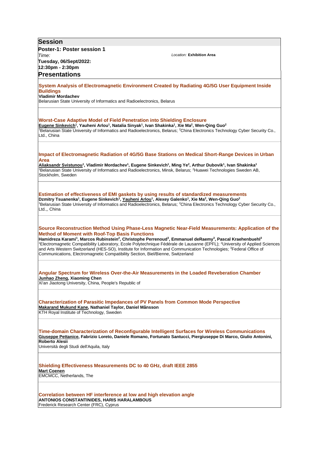| <b>Session</b>                                                                                                                                                                                                                                                                                                                                                                                                                                                                                                                                                                                                                                                                                                    |
|-------------------------------------------------------------------------------------------------------------------------------------------------------------------------------------------------------------------------------------------------------------------------------------------------------------------------------------------------------------------------------------------------------------------------------------------------------------------------------------------------------------------------------------------------------------------------------------------------------------------------------------------------------------------------------------------------------------------|
| Poster-1: Poster session 1                                                                                                                                                                                                                                                                                                                                                                                                                                                                                                                                                                                                                                                                                        |
| Location: Exhibition Area<br>Time:                                                                                                                                                                                                                                                                                                                                                                                                                                                                                                                                                                                                                                                                                |
| Tuesday, 06/Sept/2022:<br>12:30pm - 2:30pm                                                                                                                                                                                                                                                                                                                                                                                                                                                                                                                                                                                                                                                                        |
| <b>Presentations</b>                                                                                                                                                                                                                                                                                                                                                                                                                                                                                                                                                                                                                                                                                              |
|                                                                                                                                                                                                                                                                                                                                                                                                                                                                                                                                                                                                                                                                                                                   |
| System Analysis of Electromagnetic Environment Created by Radiating 4G/5G User Equipment Inside<br><b>Buildings</b>                                                                                                                                                                                                                                                                                                                                                                                                                                                                                                                                                                                               |
| <b>Vladimir Mordachev</b>                                                                                                                                                                                                                                                                                                                                                                                                                                                                                                                                                                                                                                                                                         |
| Belarusian State University of Informatics and Radioelectronics, Belarus                                                                                                                                                                                                                                                                                                                                                                                                                                                                                                                                                                                                                                          |
|                                                                                                                                                                                                                                                                                                                                                                                                                                                                                                                                                                                                                                                                                                                   |
| <b>Worst-Case Adaptive Model of Field Penetration into Shielding Enclosure</b><br>Eugene Sinkevich <sup>1</sup> , Yauheni Arlou <sup>1</sup> , Natalia Sinyak <sup>1</sup> , Ivan Shakinka <sup>1</sup> , Xie Ma <sup>2</sup> , Wen-Qing Guo <sup>2</sup><br>Belarusian State University of Informatics and Radioelectronics, Belarus; <sup>2</sup> China Electronics Technology Cyber Security Co.,<br>Ltd., China                                                                                                                                                                                                                                                                                               |
| Impact of Electromagnetic Radiation of 4G/5G Base Stations on Medical Short-Range Devices in Urban                                                                                                                                                                                                                                                                                                                                                                                                                                                                                                                                                                                                                |
| Area<br>Aliaksandr Svistunou <sup>1</sup> , Vladimir Mordachev <sup>1</sup> , Eugene Sinkevich <sup>1</sup> , Ming Ye <sup>2</sup> , Arthur Dubovik <sup>1</sup> , Ivan Shakinka <sup>1</sup>                                                                                                                                                                                                                                                                                                                                                                                                                                                                                                                     |
| Belarusian State University of Informatics and Radioelectronics, Minsk, Belarus; <sup>2</sup> Huawei Technologies Sweden AB,<br>Stockholm, Sweden                                                                                                                                                                                                                                                                                                                                                                                                                                                                                                                                                                 |
| Estimation of effectiveness of EMI gaskets by using results of standardized measurements                                                                                                                                                                                                                                                                                                                                                                                                                                                                                                                                                                                                                          |
| Dzmitry Tsuanenka <sup>1</sup> , Eugene Sinkevich <sup>1</sup> , Yauheni Arlou <sup>1</sup> , Alexey Galenko <sup>1</sup> , Xie Ma <sup>2</sup> , Wen-Qing Guo <sup>2</sup><br>Belarusian State University of Informatics and Radioelectronics, Belarus; <sup>2</sup> China Electronics Technology Cyber Security Co.,<br>Ltd.,, China                                                                                                                                                                                                                                                                                                                                                                            |
| Source Reconstruction Method Using Phase-Less Magnetic Near-Field Measurements: Application of the<br><b>Method of Moment with Roof-Top Basis Functions</b><br>Hamidreza Karami <sup>1</sup> , Marcos Rubinstein <sup>2</sup> , Christophe Perrenoud <sup>3</sup> , Emmanuel deRaemy <sup>3</sup> , Pascal Kraehenbuehl <sup>3</sup><br><sup>1</sup> Electromagnetic Compatibility Laboratory, Ecole Polytechnique Fédérale de Lausanne (EPFL); <sup>2</sup> University of Applied Sciences<br>and Arts Western Switzerland (HES-SO), Institute for Information and Communication Technologies; <sup>3</sup> Federal Office of<br>Communications, Electromagnetic Compatibility Section, Biel/Bienne, Switzerland |
| Angular Spectrum for Wireless Over-the-Air Measurements in the Loaded Reveberation Chamber<br>Junhao Zheng, Xiaoming Chen<br>Xi'an Jiaotong University, China, People's Republic of                                                                                                                                                                                                                                                                                                                                                                                                                                                                                                                               |
|                                                                                                                                                                                                                                                                                                                                                                                                                                                                                                                                                                                                                                                                                                                   |
| <b>Characterization of Parasitic Impedances of PV Panels from Common Mode Perspective</b><br>Makarand Mukund Kane, Nathaniel Taylor, Daniel Månsson<br>KTH Royal Institute of Technology, Sweden                                                                                                                                                                                                                                                                                                                                                                                                                                                                                                                  |
| Time-domain Characterization of Reconfigurable Intelligent Surfaces for Wireless Communications<br>Giuseppe Pettanice, Fabrizio Loreto, Daniele Romano, Fortunato Santucci, Piergiuseppe Di Marco, Giulio Antonini,<br><b>Roberto Alesii</b><br>Università degli Studi dell'Aquila, Italy                                                                                                                                                                                                                                                                                                                                                                                                                         |
| <b>Shielding Effectiveness Measurements DC to 40 GHz, draft IEEE 2855</b><br><b>Mart Coenen</b><br>EMCMCC, Netherlands, The                                                                                                                                                                                                                                                                                                                                                                                                                                                                                                                                                                                       |
| Correlation between HF interference at low and high elevation angle<br>ANTONIOS CONSTANTINIDES, HARIS HARALAMBOUS<br>Frederick Research Center (FRC), Cyprus                                                                                                                                                                                                                                                                                                                                                                                                                                                                                                                                                      |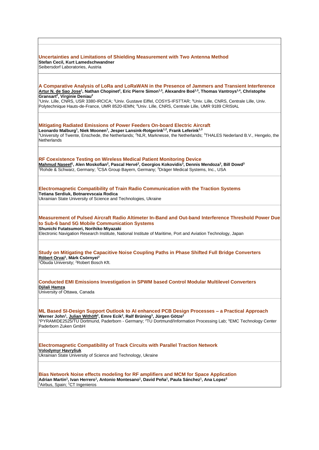| Uncertainties and Limitations of Shielding Measurement with Two Antenna Method<br>Stefan Cecil, Kurt Lamedschwandner<br>Seibersdorf Laboratories, Austria                                                                                                                                                                                                                                                               |
|-------------------------------------------------------------------------------------------------------------------------------------------------------------------------------------------------------------------------------------------------------------------------------------------------------------------------------------------------------------------------------------------------------------------------|
|                                                                                                                                                                                                                                                                                                                                                                                                                         |
| A Comparative Analysis of LoRa and LoRaWAN in the Presence of Jammers and Transient Interference<br><u>Artur N. de Sao Jose1,</u> Nathan Chopinet <sup>2</sup> , Eric Pierre Simon <sup>1,3</sup> , Alexandre Boé <sup>1,3</sup> , Thomas Vantroys <sup>1,4</sup> , Christophe<br>Gransart <sup>2</sup> , Virginie Deniau <sup>2</sup>                                                                                  |
| <sup>1</sup> Univ. Lille, CNRS, USR 3380-IRCICA; <sup>2</sup> Univ. Gustave Eiffel, COSYS-IFSTTAR; <sup>3</sup> Univ. Lille, CNRS, Centrale Lille, Univ.<br>Polytechnique Hauts-de-France, UMR 8520-IEMN; <sup>4</sup> Univ. Lille, CNRS, Centrale Lille, UMR 9189 CRIStAL                                                                                                                                              |
| Mitigating Radiated Emissions of Power Feeders On-board Electric Aircraft<br>Leonardo Malburg <sup>1</sup> , Niek Moonen <sup>1</sup> , Jesper Lansink-Rotgerink <sup>1,2</sup> , Frank Leferink <sup>1,3</sup><br><sup>1</sup> University of Twente, Enschede, the Netherlands; <sup>2</sup> NLR, Marknesse, the Netherlands; <sup>3</sup> THALES Nederland B.V., Hengelo, the<br><b>Netherlands</b>                   |
| RF Coexistence Testing on Wireless Medical Patient Monitoring Device<br>Mahmud Naseef <sup>1</sup> , Alen Moskofian <sup>2</sup> , Pascal Hervé <sup>2</sup> , Georgios Kokovidis <sup>3</sup> , Dennis Mendoza <sup>3</sup> , Bill Dowd <sup>3</sup><br>Rohde & Schwarz, Germany; <sup>2</sup> CSA Group Bayern, Germany; <sup>3</sup> Dräger Medical Systems, Inc., USA                                               |
| Electromagnetic Compatibility of Train Radio Communication with the Traction Systems<br>Tetiana Serdiuk, Botnarevscaia Rodica<br>Ukrainian State University of Science and Technologies, Ukraine                                                                                                                                                                                                                        |
| Measurement of Pulsed Aircraft Radio Altimeter In-Band and Out-band Interference Threshold Power Due<br>to Sub-6 band 5G Mobile Communication Systems<br>Shunichi Futatsumori, Norihiko Miyazaki<br>Electronic Navigation Research Institute, National Institute of Maritime, Port and Aviation Technology, Japan                                                                                                       |
| Study on Mitigating the Capacitive Noise Coupling Paths in Phase Shifted Full Bridge Converters<br>Róbert Orvai <sup>1</sup> , Márk Csörnyei <sup>2</sup><br><sup>1</sup> Óbuda University; <sup>2</sup> Robert Bosch Kft.                                                                                                                                                                                              |
| <b>Conducted EMI Emissions Investigation in SPWM based Control Modular Multilevel Converters</b><br>Djilali Hamza<br>University of Ottawa, Canada                                                                                                                                                                                                                                                                       |
| ML Based SI-Design Support Outlook to AI enhanced PCB Design Processes - a Practical Approach<br>Werner John <sup>1</sup> , Julian Withöft <sup>2</sup> , Emre Ecik <sup>2</sup> , Ralf Brüning <sup>3</sup> , Jürgen Götze <sup>2</sup><br><sup>1</sup> PYRAMIDE2525/TU Dortmund, Paderborn - Germany: <sup>2</sup> TU Dortmund/Information Processing Lab: <sup>3</sup> EMC Technology Center<br>Paderborn Zuken GmbH |
| Electromagnetic Compatibility of Track Circuits with Parallel Traction Network<br><b>Volodymyr Havryliuk</b><br>Ukrainian State University of Science and Technology, Ukraine                                                                                                                                                                                                                                           |
| Bias Network Noise effects modeling for RF amplifiers and MCM for Space Application<br>Adrian Martin <sup>1</sup> , Ivan Herrero <sup>1</sup> , Antonio Montesano <sup>1</sup> , David Peña <sup>1</sup> , Paula Sánchez <sup>1</sup> , Ana Lopez <sup>2</sup><br><sup>1</sup> Airbus, Spain; <sup>2</sup> CT Ingenieros                                                                                                |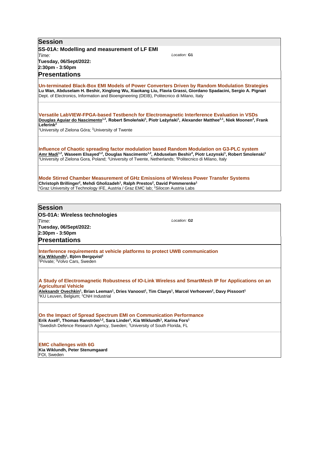**Session SS-01A: Modelling and measurement of LF EMI** *Time:*  **Tuesday, 06/Sept/2022: 2:30pm - 3:50pm** *Location:* **G1 Presentations Un-terminated Black-Box EMI Models of Power Converters Driven by Random Modulation Strategies Lu Wan, Abduselam H. Beshir, Xinglong Wu, Xiaokang Liu, Flavia Grassi, Giordano Spadacini, Sergio A. Pignari** Dept. of Electronics, Information and Bioengineering (DEIB), Politecnico di Milano, Italy **Versatile LabVIEW-FPGA-based Testbench for Electromagnetic Interference Evaluation in VSDs Douglas Aguiar do Nascimento1,2, Robert Smoleński<sup>1</sup> , Piotr Leżyński<sup>1</sup> , Alexander Matthee2,1, Niek Moonen<sup>2</sup> , Frank Leferink<sup>2</sup>** <sup>1</sup>University of Zielona Góra; <sup>2</sup>University of Twente **Influence of Chaotic spreading factor modulation based Random Modulation on G3-PLC system Amr Madi1,2, Waseem Elsayed1,2, Douglas Nascimento1,2, Abduselam Beshir<sup>3</sup> , Piotr Lezynski<sup>1</sup> , Robert Smolenski<sup>1</sup>** <sup>1</sup>University of Zielona Gora, Poland; <sup>2</sup>University of Twente, Netherlands; <sup>3</sup>Politecnico di Milano, Italy **Mode Stirred Chamber Measurement of GHz Emissions of Wireless Power Transfer Systems Christoph Brillinger<sup>2</sup> , Mehdi Gholizadeh<sup>1</sup> , Ralph Prestos<sup>2</sup> , David Pommerenke<sup>1</sup>** <sup>1</sup>Graz University of Technology IFE, Austria / Graz EMC lab; <sup>2</sup>Silocon Austria Labs **Session OS-01A: Wireless technologies** *Time:*  **Tuesday, 06/Sept/2022: 2:30pm - 3:50pm** *Location:* **G2 Presentations Interference requirements at vehicle platforms to protect UWB communication Kia Wiklundh<sup>1</sup> , Björn Bergqvist<sup>2</sup>** <sup>1</sup>Private; <sup>2</sup>Volvo Cars, Sweden **A Study of Electromagnetic Robustness of IO-Link Wireless and SmartMesh IP for Applications on an Agricultural Vehicle Aleksandr Ovechkin<sup>1</sup> , Brian Leeman<sup>1</sup> , Dries Vanoost<sup>1</sup> , Tim Claeys<sup>1</sup> , Marcel Verhoeven<sup>2</sup> , Davy Pissoort<sup>1</sup>** <sup>1</sup>KU Leuven, Belgium; <sup>2</sup>CNH Industrial **On the Impact of Spread Spectrum EMI on Communication Performance Erik Axell<sup>1</sup> , Thomas Ranström1,2, Sara Linder<sup>1</sup> , Kia Wiklundh<sup>1</sup> , Karina Fors<sup>1</sup>** <sup>1</sup>Swedish Defence Research Agency, Sweden; <sup>2</sup>University of South Florida, FL

**EMC challenges with 6G Kia Wiklundh, Peter Stenumgaard** FOI, Sweden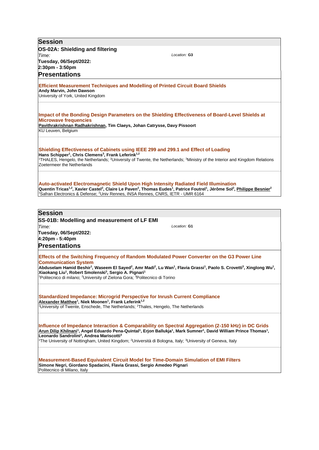| <b>Session</b>                                                                                                                                                                                                                                                                                                                                                                                                                                                                                                                                |
|-----------------------------------------------------------------------------------------------------------------------------------------------------------------------------------------------------------------------------------------------------------------------------------------------------------------------------------------------------------------------------------------------------------------------------------------------------------------------------------------------------------------------------------------------|
| OS-02A: Shielding and filtering                                                                                                                                                                                                                                                                                                                                                                                                                                                                                                               |
| Location: G3<br>Time:                                                                                                                                                                                                                                                                                                                                                                                                                                                                                                                         |
| Tuesday, 06/Sept/2022:<br>2:30pm - 3:50pm                                                                                                                                                                                                                                                                                                                                                                                                                                                                                                     |
| <b>Presentations</b>                                                                                                                                                                                                                                                                                                                                                                                                                                                                                                                          |
|                                                                                                                                                                                                                                                                                                                                                                                                                                                                                                                                               |
| <b>Efficient Measurement Techniques and Modelling of Printed Circuit Board Shields</b><br>Andy Marvin, John Dawson<br>University of York, United Kingdom                                                                                                                                                                                                                                                                                                                                                                                      |
| Impact of the Bonding Design Parameters on the Shielding Effectiveness of Board-Level Shields at<br><b>Microwave frequencies</b><br>Pavithrakrishnan Radhakrishnan, Tim Claeys, Johan Catrysse, Davy Pissoort<br>KU Leuven, Belgium                                                                                                                                                                                                                                                                                                           |
| Shielding Effectiveness of Cabinets using IEEE 299 and 299.1 and Effect of Loading<br>Hans Schipper <sup>1</sup> , Chris Clemens <sup>3</sup> , Frank Leferink <sup>1,2</sup><br><sup>1</sup> THALES, Hengelo, the Netherlands; <sup>2</sup> University of Twente, the Netherlands; <sup>3</sup> Ministry of the Interior and Kingdom Relations<br>Zoetermeer the Netherlands                                                                                                                                                                 |
| Auto-activated Electromagnetic Shield Upon High Intensity Radiated Field Illumination<br>Quentin Tricas <sup>1,2</sup> , Xavier Castel <sup>2</sup> , Claire Le Paven <sup>2</sup> , Thomas Eudes <sup>1</sup> , Patrice Foutrel <sup>1</sup> , Jérôme Sol <sup>2</sup> , Philippe Besnier <sup>2</sup><br><sup>1</sup> Safran Electronics & Defense; <sup>2</sup> Univ Rennes, INSA Rennes, CNRS, IETR - UMR 6164                                                                                                                            |
|                                                                                                                                                                                                                                                                                                                                                                                                                                                                                                                                               |
| <b>Session</b>                                                                                                                                                                                                                                                                                                                                                                                                                                                                                                                                |
| SS-01B: Modelling and measurement of LF EMI                                                                                                                                                                                                                                                                                                                                                                                                                                                                                                   |
| Location: G1<br>Time:<br>Tuesday, 06/Sept/2022:                                                                                                                                                                                                                                                                                                                                                                                                                                                                                               |
| 4:20pm - 5:40pm                                                                                                                                                                                                                                                                                                                                                                                                                                                                                                                               |
| <b>Presentations</b>                                                                                                                                                                                                                                                                                                                                                                                                                                                                                                                          |
| Effects of the Switching Frequency of Random Modulated Power Converter on the G3 Power Line<br><b>Communication System</b><br>Abduselam Hamid Beshir <sup>1</sup> , Waseem El Sayed <sup>2</sup> , Amr Madi <sup>2</sup> , Lu Wan <sup>1</sup> , Flavia Grassi <sup>1</sup> , Paolo S. Crovetti <sup>3</sup> , Xinglong Wu <sup>1</sup> ,<br>Xiaokang Liu <sup>1</sup> , Robert Smolenski <sup>3</sup> , Sergio A. Pignari <sup>1</sup><br>Politecnico di milano; <sup>2</sup> University of Zielona Gora; <sup>3</sup> Politecnico di Torino |
| <b>Standardized Impedance: Microgrid Perspective for Inrush Current Compliance</b><br>Alexander Matthee <sup>1</sup> , Niek Moonen <sup>1</sup> , Frank Leferink <sup>1,2</sup><br><sup>1</sup> University of Twente, Enschede, The Netherlands; <sup>2</sup> Thales, Hengelo, The Netherlands                                                                                                                                                                                                                                                |
| Influence of Impedance Interaction & Comparability on Spectral Aggregation (2-150 kHz) in DC Grids<br>Arun Dilip Khilnani <sup>1</sup> , Angel Eduardo Pena-Quintal <sup>1</sup> , Erjon Ballukja <sup>1</sup> , Mark Sumner <sup>1</sup> , David William Prince Thomas <sup>1</sup> ,<br>Leonardo Sandrolini <sup>2</sup> , Andrea Mariscotti <sup>3</sup><br><sup>1</sup> The University of Nottingham, United Kingdom; <sup>2</sup> Università di Bologna, Italy; <sup>3</sup> University of Geneva, Italy                                 |
| <b>Measurement-Based Equivalent Circuit Model for Time-Domain Simulation of EMI Filters</b><br>Simone Negri, Giordano Spadacini, Flavia Grassi, Sergio Amedeo Pignari<br>Politecnico di Milano, Italy                                                                                                                                                                                                                                                                                                                                         |